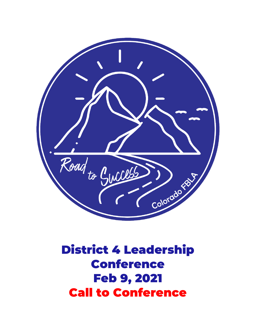

District 4 Leadership Conference Feb 9, 2021 Call to Conference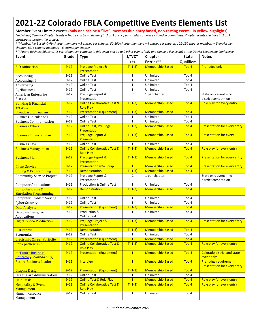## **2021-22 Colorado FBLA Competitive Events Elements List**

**Member Event Limit:** 2 events **(only one can be a "live", membership entry based, non-testing event – in yellow highlights)**

*\*Individual, Team or Chapter Events – Teams can be made up of 1, 2 or 3 participants, unless otherwise noted in parenthesis. Chapter events can have 1, 2 or 3 participants present the project.*

*\*\*Membership Based: 0-49 chapter members – 3 entries per chapter, 50-100 chapter members – 4 entries per chapter, 101-150 chapter members – 5 entries per chapter, 151+ chapter members – 6 entries per chapter*

| ***Future Business Educator: A participant can compete in this event and up to 2 other events (only one can be a live event) at the District Leadership Conference |  |  |  |  |  |
|--------------------------------------------------------------------------------------------------------------------------------------------------------------------|--|--|--|--|--|
|                                                                                                                                                                    |  |  |  |  |  |

| Event                                                        | Grade    | <b>Type</b>                                                | $I/T/C^*$                | Chapter                 | <b>State</b>      | <b>Notes</b>                                                 |
|--------------------------------------------------------------|----------|------------------------------------------------------------|--------------------------|-------------------------|-------------------|--------------------------------------------------------------|
|                                                              |          |                                                            | (#)                      | Entries**               | <b>Qualifiers</b> |                                                              |
| <b>3-D Animation</b>                                         | $9 - 12$ | Prejudge Project &<br>Presentation                         | $T(1-3)$                 | <b>Membership Based</b> | Top <sub>4</sub>  | Pre-judge only                                               |
| <b>Accounting I</b>                                          | $9 - 12$ | <b>Online Test</b>                                         |                          | Unlimited               | Top 4             |                                                              |
| <b>Accounting II</b>                                         | $9 - 12$ | <b>Online Test</b>                                         | ı                        | Unlimited               | Top 4             |                                                              |
| Advertising                                                  | $9 - 12$ | <b>Online Test</b>                                         | $\overline{\phantom{a}}$ | Unlimited               | Top 4             |                                                              |
| Agribusiness                                                 | $9 - 12$ | <b>Online Test</b>                                         | -1                       | Unlimited               | Top 4             |                                                              |
| American Enterprise<br>Project                               | $9 - 12$ | Prejudge Report &<br>Presentation                          | C                        | 1 per chapter           |                   | State only event - no<br>district competition                |
| <b>Banking &amp; Financial</b><br><b>Systems</b>             | $9 - 12$ | <b>Online Collaborative Test &amp;</b><br><b>Role Play</b> | $T(1-3)$                 | <b>Membership Based</b> | Top <sub>4</sub>  | Role play for every entry                                    |
| <b>Broadcast Journalism</b>                                  | $9 - 12$ | <b>Presentation (Equipment)</b>                            | $T(1-3)$                 | <b>Membership Based</b> | Top <sub>4</sub>  |                                                              |
| <b>Business Calculations</b>                                 | $9 - 12$ | <b>Online Test</b>                                         |                          | Unlimited               | Top 4             |                                                              |
| <b>Business Communication</b>                                | $9 - 12$ | <b>Online Test</b>                                         |                          | Unlimited               | Top 4             |                                                              |
| <b>Business Ethics</b>                                       | $9 - 12$ | Online Test, Prejudge,<br>Presentation                     | $T(1-3)$                 | <b>Membership Based</b> | Top <sub>4</sub>  | <b>Presentation for every entry</b>                          |
| <b>Business Financial Plan</b>                               | $9 - 12$ | Prejudge Report &<br>Presentation                          | $T(1-3)$                 | <b>Membership Based</b> | Top <sub>4</sub>  | <b>Presentation for every</b>                                |
| <b>Business Law</b>                                          | $9 - 12$ | <b>Online Test</b>                                         |                          | Unlimited               | Top 4             |                                                              |
| <b>Business Management</b>                                   | $9 - 12$ | <b>Online Collaborative Test &amp;</b><br><b>Role Play</b> | $T(1-3)$                 | <b>Membership Based</b> | Top <sub>4</sub>  | Role play for every entry                                    |
| <b>Business Plan</b>                                         | $9 - 12$ | Prejudge Report &<br>Presentation                          | $T(1-3)$                 | <b>Membership Based</b> | Top 4             | <b>Presentation for every entry</b>                          |
| <b>Client Service</b>                                        | $9 - 12$ | Presentation w/o Equip                                     |                          | <b>Membership Based</b> | Top <sub>4</sub>  | Presentation for every entry                                 |
| <b>Coding &amp; Programming</b>                              | $9 - 12$ | Demonstration                                              | $T(1-3)$                 | <b>Membership Based</b> | Top <sub>4</sub>  |                                                              |
| <b>Community Service Project</b>                             | $9 - 12$ | Prejudge Report &<br>Presentation                          | C                        | 1 per chapter           |                   | State only event - no<br>district competition                |
| <b>Computer Applications</b>                                 | $9 - 12$ | Production & Online Test                                   |                          | Unlimited               | Top 4             |                                                              |
| <b>Computer Game &amp;</b><br><b>Simulation Programming</b>  | $9 - 12$ | <b>Demonstration</b>                                       | $T(1-3)$                 | <b>Membership Based</b> | Top <sub>4</sub>  |                                                              |
| <b>Computer Problem Solving</b>                              | $9 - 12$ | <b>Online Test</b>                                         | $\overline{\phantom{a}}$ | Unlimited               | Top 4             |                                                              |
| <b>Cyber Security</b>                                        | $9 - 12$ | <b>Online Test</b>                                         | $\overline{\phantom{a}}$ | Unlimited               | Top 4             |                                                              |
| Data Analysis                                                | $9 - 12$ | <b>Presentation (Equipment)</b>                            | $T(1-3)$                 | <b>Membership Based</b> | Top <sub>4</sub>  |                                                              |
| Database Design &<br>Applications                            | $9 - 12$ | Production &<br><b>Online Test</b>                         |                          | Unlimited               | Top 4             |                                                              |
| <b>Digital Video Production</b>                              | $9 - 12$ | Prejudge Project &<br>Presentation                         | $T(1-3)$                 | <b>Membership Based</b> | Top <sub>4</sub>  | <b>Presentation for every entry</b>                          |
| E-Business                                                   | $9 - 12$ | Demonstration                                              | $T(1-3)$                 | <b>Membership Based</b> | Top <sub>4</sub>  |                                                              |
| Economics                                                    | $9 - 12$ | <b>Online Test</b>                                         |                          | Unlimited               | Top 4             |                                                              |
| <b>Electronic Career Portfolio</b>                           | $9 - 12$ | <b>Presentation (Equipment)</b>                            | п                        | <b>Membership Based</b> | Top <sub>4</sub>  |                                                              |
| <b>Entrepreneurship</b>                                      | $9 - 12$ | <b>Online Collaborative Test &amp;</b><br><b>Role Play</b> | $T(1-3)$                 | <b>Membership Based</b> | Top <sub>4</sub>  | Role play for every entry                                    |
| <b>***Future Business</b><br><b>Educator (Colorado only)</b> | $9 - 12$ | <b>Presentation (Equipment)</b>                            | $\blacksquare$           | <b>Membership Based</b> | Top 4             | <b>Colorado district and state</b><br>event only             |
| <b>Future Business Leader</b>                                | $9-12$   | Interview                                                  | $\mathbf{I}$             | <b>Membership Based</b> | Top <sub>4</sub>  | Pre-judge requirement<br><b>Presentation for every entry</b> |
| <b>Graphic Design</b>                                        | $9 - 12$ | <b>Presentation (Equipment)</b>                            | $T(1-3)$                 | <b>Membership Based</b> | Top <sub>4</sub>  |                                                              |
| Health Care Administration                                   | $9 - 12$ | Online Test                                                |                          | Unlimited               | Top 4             |                                                              |
| <b>Help Desk</b>                                             | $9 - 12$ | <b>Online Test &amp; Role Play</b>                         |                          | <b>Membership Based</b> | Top 4             | Role play for every entry                                    |
| <b>Hospitality &amp; Event</b><br>Management                 | $9 - 12$ | <b>Online Collaborative Test &amp;</b><br><b>Role Play</b> | $T(1-3)$                 | <b>Membership Based</b> | Top 4             | Role play for every entry                                    |
| Human Resource<br>Management                                 | $9 - 12$ | <b>Online Test</b>                                         | $\mathbf{I}$             | Unlimited               | Top 4             |                                                              |